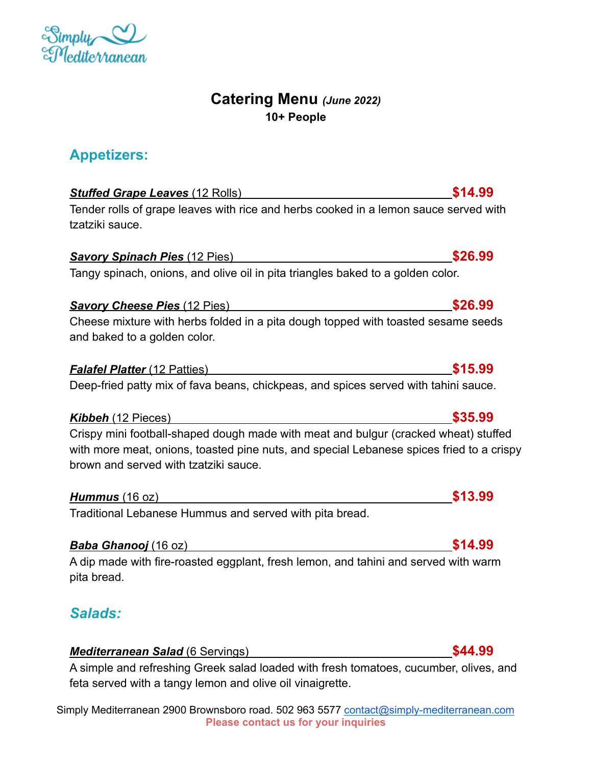### Simply Mediterranean 2900 Brownsboro road. 502 963 5577 [contact@simply-mediterranean.com](mailto:contact@simply-mediterranean.com) **Please contact us for your inquiries**

## **Catering Menu** *(June 2022)* **10+ People**

# **Appetizers:**

 $\sim$ 

# *Stuffed Grape Leaves* (12 Rolls) **\$14.99**

Tender rolls of grape leaves with rice and herbs cooked in a lemon sauce served with tzatziki sauce.

## **Savory Spinach Pies** (12 Pies) **\$26.99 \$26.99**

Tangy spinach, onions, and olive oil in pita triangles baked to a golden color.

## *Savory Cheese Pies* (12 Pies) **\$26.99**

Cheese mixture with herbs folded in a pita dough topped with toasted sesame seeds and baked to a golden color.

### *Falafel Platter* (12 Patties) **\$15.99**

Deep-fried patty mix of fava beans, chickpeas, and spices served with tahini sauce.

## *Kibbeh* (12 Pieces) **\$35.99**

Crispy mini football-shaped dough made with meat and bulgur (cracked wheat) stuffed with more meat, onions, toasted pine nuts, and special Lebanese spices fried to a crispy brown and served with tzatziki sauce.

### *Hummus* (16 oz) **\$13.99**

Traditional Lebanese Hummus and served with pita bread.

## **Baba Ghanooj** (16 oz) **\$14.99**

A dip made with fire-roasted eggplant, fresh lemon, and tahini and served with warm pita bread.

# *Salads:*

## *Mediterranean Salad* (6 Servings) **\$44.99**

A simple and refreshing Greek salad loaded with fresh tomatoes, cucumber, olives, and feta served with a tangy lemon and olive oil vinaigrette.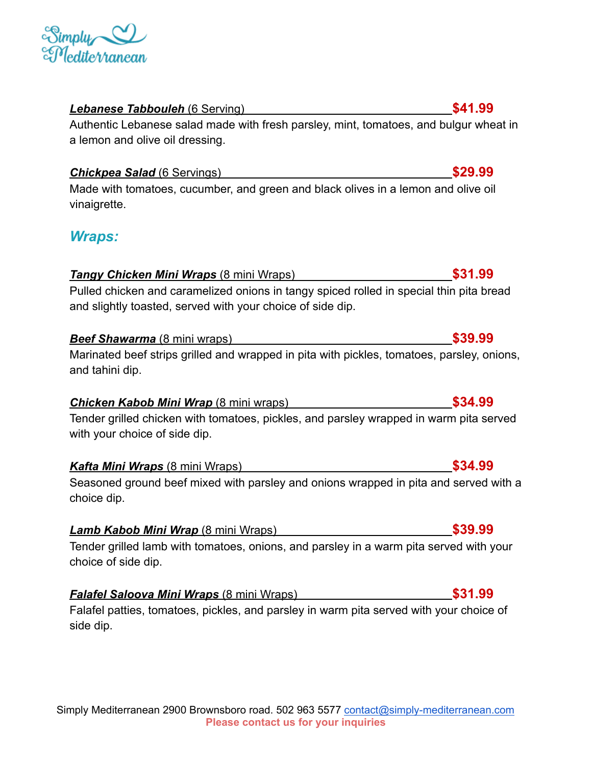### Simply Mediterranean 2900 Brownsboro road. 502 963 5577 [contact@simply-mediterranean.com](mailto:contact@simply-mediterranean.com) **Please contact us for your inquiries**

### *Lebanese Tabbouleh* (6 Serving) **\$41.99**

Authentic Lebanese salad made with fresh parsley, mint, tomatoes, and bulgur wheat in a lemon and olive oil dressing.

## **Chickpea Salad** (6 Servings) **\$29.99**

Made with tomatoes, cucumber, and green and black olives in a lemon and olive oil vinaigrette.

## *Wraps:*

# *Tangy Chicken Mini Wraps* (8 mini Wraps) **\$31.99**

Pulled chicken and caramelized onions in tangy spiced rolled in special thin pita bread and slightly toasted, served with your choice of side dip.

# **Beef Shawarma** (8 mini wraps) **\$39.99**

Marinated beef strips grilled and wrapped in pita with pickles, tomatoes, parsley, onions, and tahini dip.

## *Chicken Kabob Mini Wrap* (8 mini wraps) **\$34.99**

Tender grilled chicken with tomatoes, pickles, and parsley wrapped in warm pita served with your choice of side dip.

## *Kafta Mini Wraps* (8 mini Wraps) **\$34.99**

Seasoned ground beef mixed with parsley and onions wrapped in pita and served with a choice dip.

## *Lamb Kabob Mini Wrap* (8 mini Wraps) **\$39.99**

Tender grilled lamb with tomatoes, onions, and parsley in a warm pita served with your choice of side dip.

## *Falafel Saloova Mini Wraps* (8 mini Wraps) **\$31.99**

Falafel patties, tomatoes, pickles, and parsley in warm pita served with your choice of side dip.